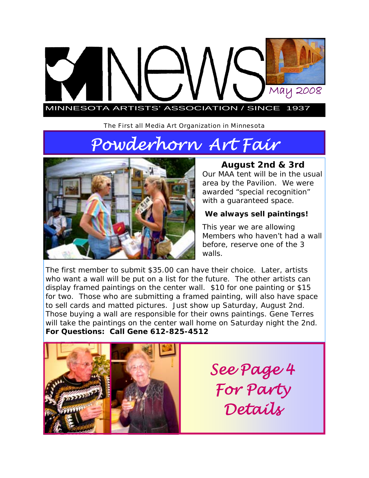# MINNESOTA ARTISTS' ASSOCIATION / SINCE 1937 May 2008

The First all Media Art Organization in Minnesota

# *Powderhorn Art Fair*



# **August 2nd & 3rd**

Our MAA tent will be in the usual area by the Pavilion. We were awarded "special recognition" with a guaranteed space.

#### **We always sell paintings!**

This year we are allowing Members who haven't had a wall before, reserve one of the 3 walls.

The first member to submit \$35.00 can have their choice. Later, artists who want a wall will be put on a list for the future. The other artists can display framed paintings on the center wall. \$10 for one painting or \$15 for two. Those who are submitting a framed painting, will also have space to sell cards and matted pictures. Just show up Saturday, August 2nd. Those buying a wall are responsible for their owns paintings. Gene Terres will take the paintings on the center wall home on Saturday night the 2nd. **For Questions: Call Gene 612-825-4512** 



*See Page 4 For Party Details*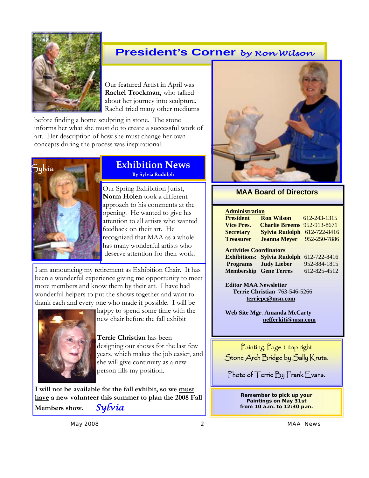

# **President's Corner** *by Ron Wilson*

Our featured Artist in April was **Rachel Trockman,** who talked about her journey into sculpture. Rachel tried many other mediums

before finding a home sculpting in stone. The stone informs her what she must do to create a successful work of art. Her description of how she must change her own concepts during the process was inspirational.



#### **Exhibition News By Sylvia Rudolph**

Our Spring Exhibition Jurist, **Norm Holen** took a different approach to his comments at the opening. He wanted to give his attention to all artists who wanted feedback on their art. He recognized that MAA as a whole has many wonderful artists who deserve attention for their work.

I am announcing my retirement as Exhibition Chair. It has been a wonderful experience giving me opportunity to meet more members and know them by their art. I have had wonderful helpers to put the shows together and want to thank each and every one who made it possible. I will be



happy to spend some time with the new chair before the fall exhibit

**Terrie Christian** has been designing our shows for the last few years, which makes the job easier, and she will give continuity as a new person fills my position.

**I will not be available for the fall exhibit, so we must have a new volunteer this summer to plan the 2008 Fall Members show.** *Sylvia* 



#### **MAA Board of Directors**

#### **Administration**

| <b>President</b>               | <b>Ron Wilson</b>                  | 612-243-1315 |
|--------------------------------|------------------------------------|--------------|
| <b>Vice Pres.</b>              | <b>Charlie Breems</b> 952-913-8671 |              |
| <b>Secretary</b>               | Sylvia Rudolph $612-722-8416$      |              |
| <b>Treasurer</b>               | <b>Jeanna Meyer</b> 952-250-7886   |              |
| <b>Activities Coordinators</b> |                                    |              |

**Exhibitions: Sylvia Rudolph** 612-722-8416 **Programs Judy Lieber** 952-884-1815 **Membership Gene Terres** 612-825-4512

**Editor MAA Newsletter Terrie Christian** 763-546-5266 **terriepc@msn.com**

**Web Site Mgr**. **Amanda McCarty nefferkiti@msn.com** 

Painting, Page 1 top right Stone Arch Bridge by Sally Kruta.

Photo of Terrie By Frank Evans.

**Remember to pick up your Paintings on May 31st from 10 a.m. to 12:30 p.m.** 

*May 2008 2 MAA News*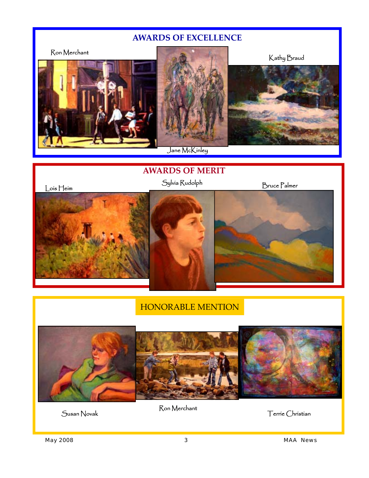## **AWARDS OF EXCELLENCE**



Jane McKinley

## **AWARDS OF MERIT**





# HONORABLE MENTION



Susan Novak Ron Merchant Ron Herchant Terrie Christian

*May 2008 3 MAA News*